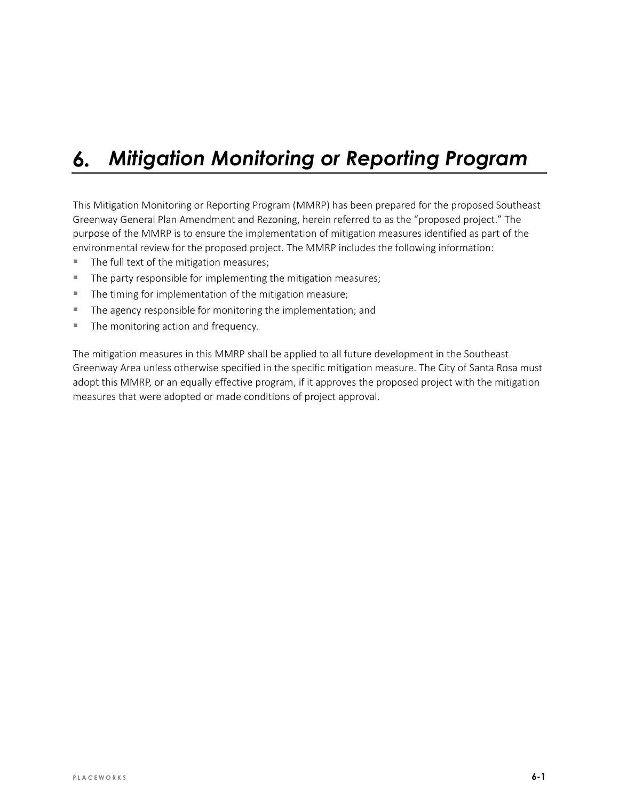#### *Mitigation Monitoring or Reporting Program* 6.

This Mitigation Monitoring or Reporting Program (MMRP) has been prepared for the proposed Southeast Greenway General Plan Amendment and Rezoning, herein referred to as the "proposed project." The purpose of the MMRP is to ensure the implementation of mitigation measures identified as part of the environmental review for the proposed project. The MMRP includes the following information:

- The full text of the mitigation measures;
- The party responsible for implementing the mitigation measures;
- The timing for implementation of the mitigation measure;
- **The agency responsible for monitoring the implementation; and**
- The monitoring action and frequency.

The mitigation measures in this MMRP shall be applied to all future development in the Southeast Greenway Area unless otherwise specified in the specific mitigation measure. The City of Santa Rosa must adopt this MMRP, or an equally effective program, if it approves the proposed project with the mitigation measures that were adopted or made conditions of project approval.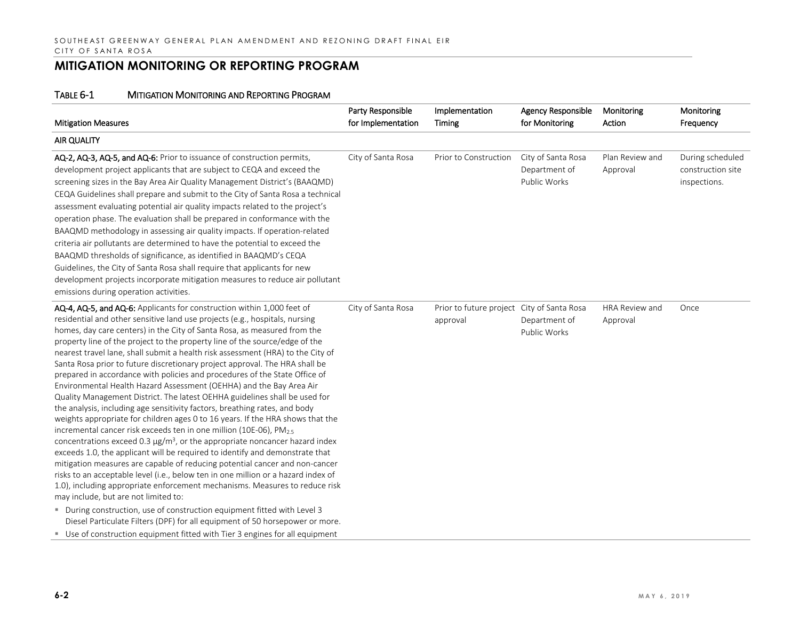| <b>Mitigation Measures</b>                                                                                                                                                                                                                                                                                                                                                                                                                                                                                                                                                                                                                                                                                                                                                                                                                                                                                                                                                                                                                                                                                                                                                                                                                                                                                                                                                                                                                                                                                                                                                                                                                                                                   | Party Responsible<br>for Implementation | Implementation<br>Timing                               | <b>Agency Responsible</b><br>for Monitoring         | Monitoring<br>Action              | Monitoring<br>Frequency                               |
|----------------------------------------------------------------------------------------------------------------------------------------------------------------------------------------------------------------------------------------------------------------------------------------------------------------------------------------------------------------------------------------------------------------------------------------------------------------------------------------------------------------------------------------------------------------------------------------------------------------------------------------------------------------------------------------------------------------------------------------------------------------------------------------------------------------------------------------------------------------------------------------------------------------------------------------------------------------------------------------------------------------------------------------------------------------------------------------------------------------------------------------------------------------------------------------------------------------------------------------------------------------------------------------------------------------------------------------------------------------------------------------------------------------------------------------------------------------------------------------------------------------------------------------------------------------------------------------------------------------------------------------------------------------------------------------------|-----------------------------------------|--------------------------------------------------------|-----------------------------------------------------|-----------------------------------|-------------------------------------------------------|
| <b>AIR QUALITY</b>                                                                                                                                                                                                                                                                                                                                                                                                                                                                                                                                                                                                                                                                                                                                                                                                                                                                                                                                                                                                                                                                                                                                                                                                                                                                                                                                                                                                                                                                                                                                                                                                                                                                           |                                         |                                                        |                                                     |                                   |                                                       |
| AQ-2, AQ-3, AQ-5, and AQ-6: Prior to issuance of construction permits,<br>development project applicants that are subject to CEQA and exceed the<br>screening sizes in the Bay Area Air Quality Management District's (BAAQMD)<br>CEQA Guidelines shall prepare and submit to the City of Santa Rosa a technical<br>assessment evaluating potential air quality impacts related to the project's<br>operation phase. The evaluation shall be prepared in conformance with the<br>BAAQMD methodology in assessing air quality impacts. If operation-related<br>criteria air pollutants are determined to have the potential to exceed the<br>BAAQMD thresholds of significance, as identified in BAAQMD's CEQA<br>Guidelines, the City of Santa Rosa shall require that applicants for new<br>development projects incorporate mitigation measures to reduce air pollutant<br>emissions during operation activities.                                                                                                                                                                                                                                                                                                                                                                                                                                                                                                                                                                                                                                                                                                                                                                          | City of Santa Rosa                      | Prior to Construction                                  | City of Santa Rosa<br>Department of<br>Public Works | Plan Review and<br>Approval       | During scheduled<br>construction site<br>inspections. |
| AQ-4, AQ-5, and AQ-6: Applicants for construction within 1,000 feet of<br>residential and other sensitive land use projects (e.g., hospitals, nursing<br>homes, day care centers) in the City of Santa Rosa, as measured from the<br>property line of the project to the property line of the source/edge of the<br>nearest travel lane, shall submit a health risk assessment (HRA) to the City of<br>Santa Rosa prior to future discretionary project approval. The HRA shall be<br>prepared in accordance with policies and procedures of the State Office of<br>Environmental Health Hazard Assessment (OEHHA) and the Bay Area Air<br>Quality Management District. The latest OEHHA guidelines shall be used for<br>the analysis, including age sensitivity factors, breathing rates, and body<br>weights appropriate for children ages 0 to 16 years. If the HRA shows that the<br>incremental cancer risk exceeds ten in one million (10E-06), PM <sub>2.5</sub><br>concentrations exceed 0.3 $\mu$ g/m <sup>3</sup> , or the appropriate noncancer hazard index<br>exceeds 1.0, the applicant will be required to identify and demonstrate that<br>mitigation measures are capable of reducing potential cancer and non-cancer<br>risks to an acceptable level (i.e., below ten in one million or a hazard index of<br>1.0), including appropriate enforcement mechanisms. Measures to reduce risk<br>may include, but are not limited to:<br>■ During construction, use of construction equipment fitted with Level 3<br>Diesel Particulate Filters (DPF) for all equipment of 50 horsepower or more.<br>Use of construction equipment fitted with Tier 3 engines for all equipment | City of Santa Rosa                      | Prior to future project City of Santa Rosa<br>approval | Department of<br>Public Works                       | <b>HRA Review and</b><br>Approval | Once                                                  |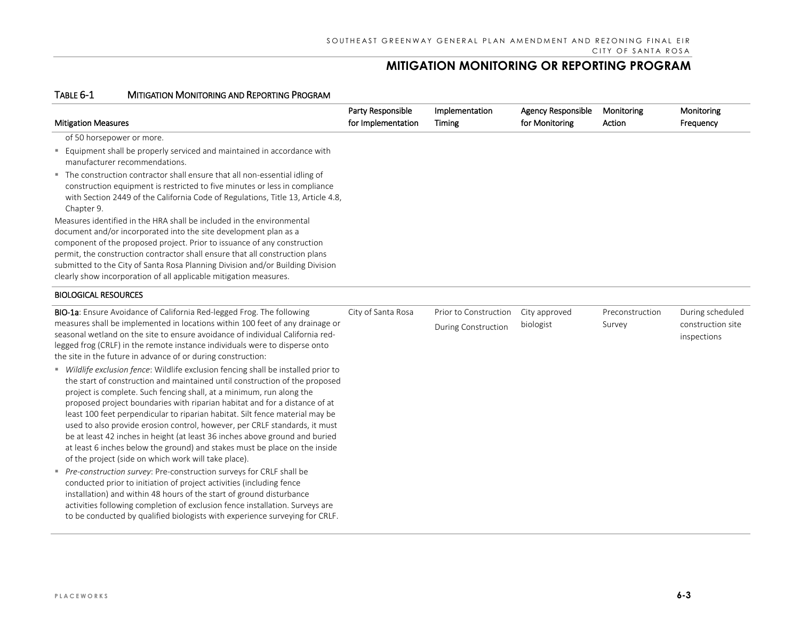| <b>Mitigation Measures</b>                                                                                                                                                                                                                                                                                                                                                                                                                                                                                                                                                                                                                                                                                                                                                                                                                                                                                                                                                                                                                                                                                                                                                   | Party Responsible<br>for Implementation | Implementation<br><b>Timing</b>                     | <b>Agency Responsible</b><br>for Monitoring | Monitoring<br>Action      | Monitoring<br>Frequency                              |
|------------------------------------------------------------------------------------------------------------------------------------------------------------------------------------------------------------------------------------------------------------------------------------------------------------------------------------------------------------------------------------------------------------------------------------------------------------------------------------------------------------------------------------------------------------------------------------------------------------------------------------------------------------------------------------------------------------------------------------------------------------------------------------------------------------------------------------------------------------------------------------------------------------------------------------------------------------------------------------------------------------------------------------------------------------------------------------------------------------------------------------------------------------------------------|-----------------------------------------|-----------------------------------------------------|---------------------------------------------|---------------------------|------------------------------------------------------|
| of 50 horsepower or more.<br>" Equipment shall be properly serviced and maintained in accordance with<br>manufacturer recommendations.<br>" The construction contractor shall ensure that all non-essential idling of<br>construction equipment is restricted to five minutes or less in compliance<br>with Section 2449 of the California Code of Regulations, Title 13, Article 4.8,<br>Chapter 9.<br>Measures identified in the HRA shall be included in the environmental<br>document and/or incorporated into the site development plan as a<br>component of the proposed project. Prior to issuance of any construction<br>permit, the construction contractor shall ensure that all construction plans<br>submitted to the City of Santa Rosa Planning Division and/or Building Division<br>clearly show incorporation of all applicable mitigation measures.                                                                                                                                                                                                                                                                                                         |                                         |                                                     |                                             |                           |                                                      |
| <b>BIOLOGICAL RESOURCES</b>                                                                                                                                                                                                                                                                                                                                                                                                                                                                                                                                                                                                                                                                                                                                                                                                                                                                                                                                                                                                                                                                                                                                                  |                                         |                                                     |                                             |                           |                                                      |
| BIO-1a: Ensure Avoidance of California Red-legged Frog. The following<br>measures shall be implemented in locations within 100 feet of any drainage or<br>seasonal wetland on the site to ensure avoidance of individual California red-<br>legged frog (CRLF) in the remote instance individuals were to disperse onto<br>the site in the future in advance of or during construction:<br>" Wildlife exclusion fence: Wildlife exclusion fencing shall be installed prior to<br>the start of construction and maintained until construction of the proposed<br>project is complete. Such fencing shall, at a minimum, run along the<br>proposed project boundaries with riparian habitat and for a distance of at<br>least 100 feet perpendicular to riparian habitat. Silt fence material may be<br>used to also provide erosion control, however, per CRLF standards, it must<br>be at least 42 inches in height (at least 36 inches above ground and buried<br>at least 6 inches below the ground) and stakes must be place on the inside<br>of the project (side on which work will take place).<br>Pre-construction survey: Pre-construction surveys for CRLF shall be | City of Santa Rosa                      | Prior to Construction<br><b>During Construction</b> | City approved<br>biologist                  | Preconstruction<br>Survey | During scheduled<br>construction site<br>inspections |
| conducted prior to initiation of project activities (including fence<br>installation) and within 48 hours of the start of ground disturbance<br>activities following completion of exclusion fence installation. Surveys are<br>to be conducted by qualified biologists with experience surveying for CRLF.                                                                                                                                                                                                                                                                                                                                                                                                                                                                                                                                                                                                                                                                                                                                                                                                                                                                  |                                         |                                                     |                                             |                           |                                                      |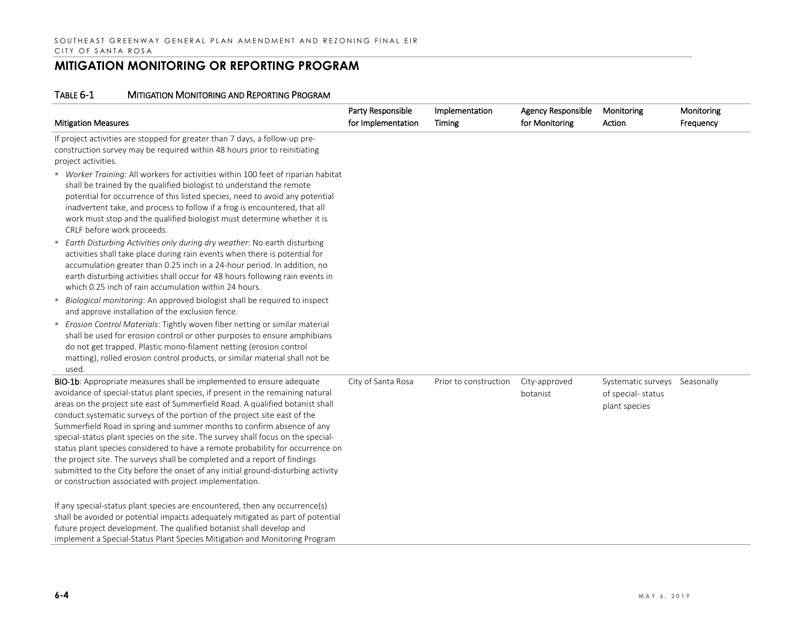| <b>Mitigation Measures</b>                                                                                                                                                                                                                                                                                                                                                                                                                                                                                                                                                                                                                                                                                                                                                                        | Party Responsible<br>for Implementation | Implementation<br>Timing | Agency Responsible<br>for Monitoring | Monitoring<br>Action                                                | Monitoring<br>Frequency |
|---------------------------------------------------------------------------------------------------------------------------------------------------------------------------------------------------------------------------------------------------------------------------------------------------------------------------------------------------------------------------------------------------------------------------------------------------------------------------------------------------------------------------------------------------------------------------------------------------------------------------------------------------------------------------------------------------------------------------------------------------------------------------------------------------|-----------------------------------------|--------------------------|--------------------------------------|---------------------------------------------------------------------|-------------------------|
| If project activities are stopped for greater than 7 days, a follow-up pre-<br>construction survey may be required within 48 hours prior to reinitiating<br>project activities.                                                                                                                                                                                                                                                                                                                                                                                                                                                                                                                                                                                                                   |                                         |                          |                                      |                                                                     |                         |
| " Worker Training: All workers for activities within 100 feet of riparian habitat<br>shall be trained by the qualified biologist to understand the remote<br>potential for occurrence of this listed species, need to avoid any potential<br>inadvertent take, and process to follow if a frog is encountered, that all<br>work must stop and the qualified biologist must determine whether it is<br>CRLF before work proceeds.                                                                                                                                                                                                                                                                                                                                                                  |                                         |                          |                                      |                                                                     |                         |
| ■ Earth Disturbing Activities only during dry weather: No earth disturbing<br>activities shall take place during rain events when there is potential for<br>accumulation greater than 0.25 inch in a 24-hour period. In addition, no<br>earth disturbing activities shall occur for 48 hours following rain events in<br>which 0.25 inch of rain accumulation within 24 hours.                                                                                                                                                                                                                                                                                                                                                                                                                    |                                         |                          |                                      |                                                                     |                         |
| " Biological monitoring: An approved biologist shall be required to inspect<br>and approve installation of the exclusion fence.                                                                                                                                                                                                                                                                                                                                                                                                                                                                                                                                                                                                                                                                   |                                         |                          |                                      |                                                                     |                         |
| Erosion Control Materials: Tightly woven fiber netting or similar material<br>shall be used for erosion control or other purposes to ensure amphibians<br>do not get trapped. Plastic mono-filament netting (erosion control<br>matting), rolled erosion control products, or similar material shall not be<br>used.                                                                                                                                                                                                                                                                                                                                                                                                                                                                              |                                         |                          |                                      |                                                                     |                         |
| BIO-1b: Appropriate measures shall be implemented to ensure adequate<br>avoidance of special-status plant species, if present in the remaining natural<br>areas on the project site east of Summerfield Road. A qualified botanist shall<br>conduct systematic surveys of the portion of the project site east of the<br>Summerfield Road in spring and summer months to confirm absence of any<br>special-status plant species on the site. The survey shall focus on the special-<br>status plant species considered to have a remote probability for occurrence on<br>the project site. The surveys shall be completed and a report of findings<br>submitted to the City before the onset of any initial ground-disturbing activity<br>or construction associated with project implementation. | City of Santa Rosa                      | Prior to construction    | City-approved<br>botanist            | Systematic surveys Seasonally<br>of special-status<br>plant species |                         |
| If any special-status plant species are encountered, then any occurrence(s)<br>shall be avoided or potential impacts adequately mitigated as part of potential<br>future project development. The qualified botanist shall develop and<br>implement a Special-Status Plant Species Mitigation and Monitoring Program                                                                                                                                                                                                                                                                                                                                                                                                                                                                              |                                         |                          |                                      |                                                                     |                         |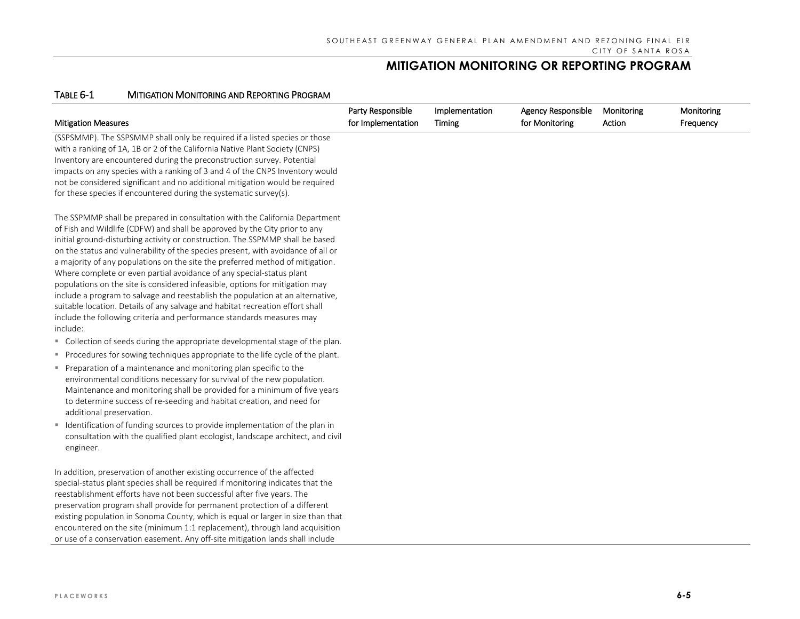| <b>Mitigation Measures</b>                                                                                                                                                                                                                                                                                                                                                                                                                                                                                                                                                                                                                                                                                                                                                                                                      | Party Responsible<br>for Implementation | Implementation<br>Timing | <b>Agency Responsible</b><br>for Monitoring | Monitoring<br>Action | Monitoring<br>Frequency |
|---------------------------------------------------------------------------------------------------------------------------------------------------------------------------------------------------------------------------------------------------------------------------------------------------------------------------------------------------------------------------------------------------------------------------------------------------------------------------------------------------------------------------------------------------------------------------------------------------------------------------------------------------------------------------------------------------------------------------------------------------------------------------------------------------------------------------------|-----------------------------------------|--------------------------|---------------------------------------------|----------------------|-------------------------|
| (SSPSMMP). The SSPSMMP shall only be required if a listed species or those<br>with a ranking of 1A, 1B or 2 of the California Native Plant Society (CNPS)<br>Inventory are encountered during the preconstruction survey. Potential<br>impacts on any species with a ranking of 3 and 4 of the CNPS Inventory would<br>not be considered significant and no additional mitigation would be required<br>for these species if encountered during the systematic survey(s).                                                                                                                                                                                                                                                                                                                                                        |                                         |                          |                                             |                      |                         |
| The SSPMMP shall be prepared in consultation with the California Department<br>of Fish and Wildlife (CDFW) and shall be approved by the City prior to any<br>initial ground-disturbing activity or construction. The SSPMMP shall be based<br>on the status and vulnerability of the species present, with avoidance of all or<br>a majority of any populations on the site the preferred method of mitigation.<br>Where complete or even partial avoidance of any special-status plant<br>populations on the site is considered infeasible, options for mitigation may<br>include a program to salvage and reestablish the population at an alternative,<br>suitable location. Details of any salvage and habitat recreation effort shall<br>include the following criteria and performance standards measures may<br>include: |                                         |                          |                                             |                      |                         |
| " Collection of seeds during the appropriate developmental stage of the plan.                                                                                                                                                                                                                                                                                                                                                                                                                                                                                                                                                                                                                                                                                                                                                   |                                         |                          |                                             |                      |                         |
| • Procedures for sowing techniques appropriate to the life cycle of the plant.<br>Preparation of a maintenance and monitoring plan specific to the<br>environmental conditions necessary for survival of the new population.<br>Maintenance and monitoring shall be provided for a minimum of five years<br>to determine success of re-seeding and habitat creation, and need for<br>additional preservation.                                                                                                                                                                                                                                                                                                                                                                                                                   |                                         |                          |                                             |                      |                         |
| • Identification of funding sources to provide implementation of the plan in<br>consultation with the qualified plant ecologist, landscape architect, and civil<br>engineer.                                                                                                                                                                                                                                                                                                                                                                                                                                                                                                                                                                                                                                                    |                                         |                          |                                             |                      |                         |
| In addition, preservation of another existing occurrence of the affected<br>special-status plant species shall be required if monitoring indicates that the<br>reestablishment efforts have not been successful after five years. The<br>preservation program shall provide for permanent protection of a different<br>existing population in Sonoma County, which is equal or larger in size than that<br>encountered on the site (minimum 1:1 replacement), through land acquisition<br>or use of a conservation easement. Any off-site mitigation lands shall include                                                                                                                                                                                                                                                        |                                         |                          |                                             |                      |                         |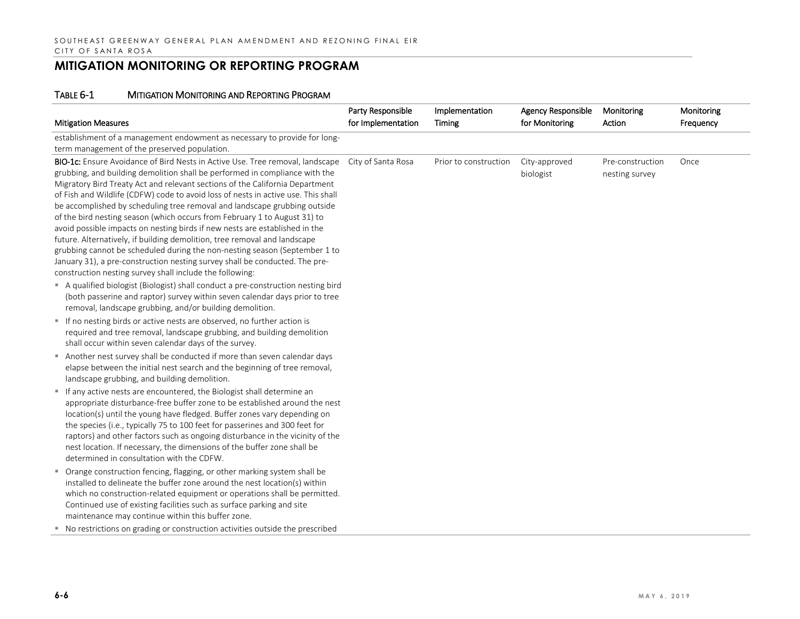|                                                                                                                                                                                                                                                                                                                                                                                                                                                                                                                                                                                                                                                                                                                                                                                                                                                                                  | Party Responsible  | Implementation        | Agency Responsible         | Monitoring                         | Monitoring |
|----------------------------------------------------------------------------------------------------------------------------------------------------------------------------------------------------------------------------------------------------------------------------------------------------------------------------------------------------------------------------------------------------------------------------------------------------------------------------------------------------------------------------------------------------------------------------------------------------------------------------------------------------------------------------------------------------------------------------------------------------------------------------------------------------------------------------------------------------------------------------------|--------------------|-----------------------|----------------------------|------------------------------------|------------|
| <b>Mitigation Measures</b>                                                                                                                                                                                                                                                                                                                                                                                                                                                                                                                                                                                                                                                                                                                                                                                                                                                       | for Implementation | Timing                | for Monitoring             | Action                             | Frequency  |
| establishment of a management endowment as necessary to provide for long-<br>term management of the preserved population.                                                                                                                                                                                                                                                                                                                                                                                                                                                                                                                                                                                                                                                                                                                                                        |                    |                       |                            |                                    |            |
| BIO-1c: Ensure Avoidance of Bird Nests in Active Use. Tree removal, landscape<br>grubbing, and building demolition shall be performed in compliance with the<br>Migratory Bird Treaty Act and relevant sections of the California Department<br>of Fish and Wildlife (CDFW) code to avoid loss of nests in active use. This shall<br>be accomplished by scheduling tree removal and landscape grubbing outside<br>of the bird nesting season (which occurs from February 1 to August 31) to<br>avoid possible impacts on nesting birds if new nests are established in the<br>future. Alternatively, if building demolition, tree removal and landscape<br>grubbing cannot be scheduled during the non-nesting season (September 1 to<br>January 31), a pre-construction nesting survey shall be conducted. The pre-<br>construction nesting survey shall include the following: | City of Santa Rosa | Prior to construction | City-approved<br>biologist | Pre-construction<br>nesting survey | Once       |
| A qualified biologist (Biologist) shall conduct a pre-construction nesting bird<br>(both passerine and raptor) survey within seven calendar days prior to tree<br>removal, landscape grubbing, and/or building demolition.                                                                                                                                                                                                                                                                                                                                                                                                                                                                                                                                                                                                                                                       |                    |                       |                            |                                    |            |
| If no nesting birds or active nests are observed, no further action is<br>required and tree removal, landscape grubbing, and building demolition<br>shall occur within seven calendar days of the survey.                                                                                                                                                                                                                                                                                                                                                                                                                                                                                                                                                                                                                                                                        |                    |                       |                            |                                    |            |
| Another nest survey shall be conducted if more than seven calendar days<br>elapse between the initial nest search and the beginning of tree removal,<br>landscape grubbing, and building demolition.                                                                                                                                                                                                                                                                                                                                                                                                                                                                                                                                                                                                                                                                             |                    |                       |                            |                                    |            |
| " If any active nests are encountered, the Biologist shall determine an<br>appropriate disturbance-free buffer zone to be established around the nest<br>location(s) until the young have fledged. Buffer zones vary depending on<br>the species (i.e., typically 75 to 100 feet for passerines and 300 feet for<br>raptors) and other factors such as ongoing disturbance in the vicinity of the<br>nest location. If necessary, the dimensions of the buffer zone shall be<br>determined in consultation with the CDFW.                                                                                                                                                                                                                                                                                                                                                        |                    |                       |                            |                                    |            |
| • Orange construction fencing, flagging, or other marking system shall be<br>installed to delineate the buffer zone around the nest location(s) within<br>which no construction-related equipment or operations shall be permitted.<br>Continued use of existing facilities such as surface parking and site<br>maintenance may continue within this buffer zone.                                                                                                                                                                                                                                                                                                                                                                                                                                                                                                                |                    |                       |                            |                                    |            |
| ■ No restrictions on grading or construction activities outside the prescribed                                                                                                                                                                                                                                                                                                                                                                                                                                                                                                                                                                                                                                                                                                                                                                                                   |                    |                       |                            |                                    |            |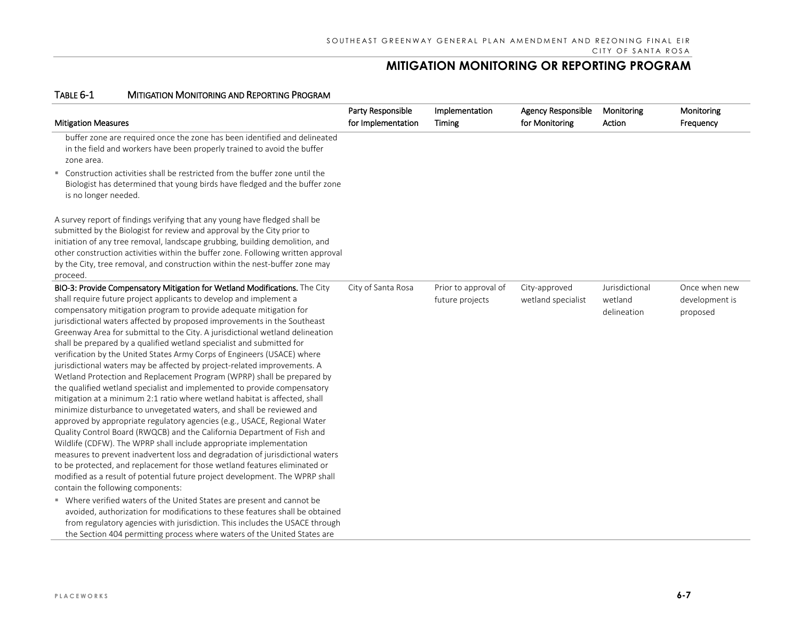| <b>Mitigation Measures</b>                                                                                                                                                                                                                                                                                                                                                                                                                                                                                                                                                                                                                                                                                                                                                                                                                                                                                                                                                                                                                                                                                                                                                                                                                                                                                                                                                                                                                       | Party Responsible<br>for Implementation | Implementation<br>Timing                | <b>Agency Responsible</b><br>for Monitoring | Monitoring<br>Action                     | Monitoring<br>Frequency                     |
|--------------------------------------------------------------------------------------------------------------------------------------------------------------------------------------------------------------------------------------------------------------------------------------------------------------------------------------------------------------------------------------------------------------------------------------------------------------------------------------------------------------------------------------------------------------------------------------------------------------------------------------------------------------------------------------------------------------------------------------------------------------------------------------------------------------------------------------------------------------------------------------------------------------------------------------------------------------------------------------------------------------------------------------------------------------------------------------------------------------------------------------------------------------------------------------------------------------------------------------------------------------------------------------------------------------------------------------------------------------------------------------------------------------------------------------------------|-----------------------------------------|-----------------------------------------|---------------------------------------------|------------------------------------------|---------------------------------------------|
| buffer zone are required once the zone has been identified and delineated<br>in the field and workers have been properly trained to avoid the buffer<br>zone area.                                                                                                                                                                                                                                                                                                                                                                                                                                                                                                                                                                                                                                                                                                                                                                                                                                                                                                                                                                                                                                                                                                                                                                                                                                                                               |                                         |                                         |                                             |                                          |                                             |
| ■ Construction activities shall be restricted from the buffer zone until the<br>Biologist has determined that young birds have fledged and the buffer zone<br>is no longer needed.                                                                                                                                                                                                                                                                                                                                                                                                                                                                                                                                                                                                                                                                                                                                                                                                                                                                                                                                                                                                                                                                                                                                                                                                                                                               |                                         |                                         |                                             |                                          |                                             |
| A survey report of findings verifying that any young have fledged shall be<br>submitted by the Biologist for review and approval by the City prior to<br>initiation of any tree removal, landscape grubbing, building demolition, and<br>other construction activities within the buffer zone. Following written approval<br>by the City, tree removal, and construction within the nest-buffer zone may<br>proceed.                                                                                                                                                                                                                                                                                                                                                                                                                                                                                                                                                                                                                                                                                                                                                                                                                                                                                                                                                                                                                             |                                         |                                         |                                             |                                          |                                             |
| BIO-3: Provide Compensatory Mitigation for Wetland Modifications. The City<br>shall require future project applicants to develop and implement a<br>compensatory mitigation program to provide adequate mitigation for<br>jurisdictional waters affected by proposed improvements in the Southeast<br>Greenway Area for submittal to the City. A jurisdictional wetland delineation<br>shall be prepared by a qualified wetland specialist and submitted for<br>verification by the United States Army Corps of Engineers (USACE) where<br>jurisdictional waters may be affected by project-related improvements. A<br>Wetland Protection and Replacement Program (WPRP) shall be prepared by<br>the qualified wetland specialist and implemented to provide compensatory<br>mitigation at a minimum 2:1 ratio where wetland habitat is affected, shall<br>minimize disturbance to unvegetated waters, and shall be reviewed and<br>approved by appropriate regulatory agencies (e.g., USACE, Regional Water<br>Quality Control Board (RWQCB) and the California Department of Fish and<br>Wildlife (CDFW). The WPRP shall include appropriate implementation<br>measures to prevent inadvertent loss and degradation of jurisdictional waters<br>to be protected, and replacement for those wetland features eliminated or<br>modified as a result of potential future project development. The WPRP shall<br>contain the following components: | City of Santa Rosa                      | Prior to approval of<br>future projects | City-approved<br>wetland specialist         | Jurisdictional<br>wetland<br>delineation | Once when new<br>development is<br>proposed |
| " Where verified waters of the United States are present and cannot be<br>avoided, authorization for modifications to these features shall be obtained<br>from regulatory agencies with jurisdiction. This includes the USACE through<br>the Section 404 permitting process where waters of the United States are                                                                                                                                                                                                                                                                                                                                                                                                                                                                                                                                                                                                                                                                                                                                                                                                                                                                                                                                                                                                                                                                                                                                |                                         |                                         |                                             |                                          |                                             |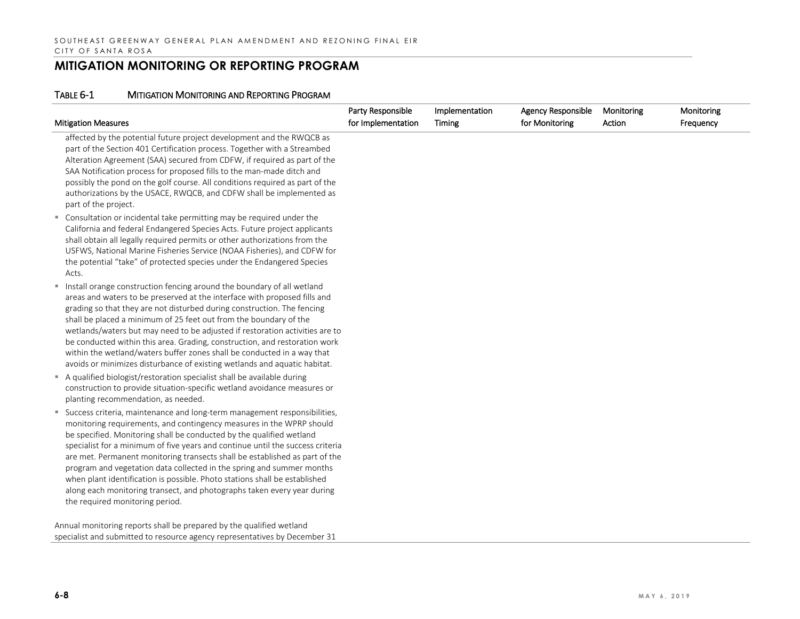#### TABLE 6-1 MITIGATION MONITORING AND REPORTING PROGRAM

|                                                                                                                                                                                                                                                                                                                                                                                                                                                                                                                                                                                                                                                                  | Party Responsible  | Implementation | <b>Agency Responsible</b> | Monitoring | Monitoring |
|------------------------------------------------------------------------------------------------------------------------------------------------------------------------------------------------------------------------------------------------------------------------------------------------------------------------------------------------------------------------------------------------------------------------------------------------------------------------------------------------------------------------------------------------------------------------------------------------------------------------------------------------------------------|--------------------|----------------|---------------------------|------------|------------|
| <b>Mitigation Measures</b>                                                                                                                                                                                                                                                                                                                                                                                                                                                                                                                                                                                                                                       | for Implementation | Timing         | for Monitoring            | Action     | Frequency  |
| affected by the potential future project development and the RWQCB as<br>part of the Section 401 Certification process. Together with a Streambed<br>Alteration Agreement (SAA) secured from CDFW, if required as part of the<br>SAA Notification process for proposed fills to the man-made ditch and<br>possibly the pond on the golf course. All conditions required as part of the<br>authorizations by the USACE, RWQCB, and CDFW shall be implemented as<br>part of the project.                                                                                                                                                                           |                    |                |                           |            |            |
| " Consultation or incidental take permitting may be required under the<br>California and federal Endangered Species Acts. Future project applicants<br>shall obtain all legally required permits or other authorizations from the<br>USFWS, National Marine Fisheries Service (NOAA Fisheries), and CDFW for<br>the potential "take" of protected species under the Endangered Species<br>Acts.                                                                                                                                                                                                                                                                  |                    |                |                           |            |            |
| " Install orange construction fencing around the boundary of all wetland<br>areas and waters to be preserved at the interface with proposed fills and<br>grading so that they are not disturbed during construction. The fencing<br>shall be placed a minimum of 25 feet out from the boundary of the<br>wetlands/waters but may need to be adjusted if restoration activities are to<br>be conducted within this area. Grading, construction, and restoration work<br>within the wetland/waters buffer zones shall be conducted in a way that<br>avoids or minimizes disturbance of existing wetlands and aquatic habitat.                                      |                    |                |                           |            |            |
| A qualified biologist/restoration specialist shall be available during<br>construction to provide situation-specific wetland avoidance measures or<br>planting recommendation, as needed.                                                                                                                                                                                                                                                                                                                                                                                                                                                                        |                    |                |                           |            |            |
| " Success criteria, maintenance and long-term management responsibilities,<br>monitoring requirements, and contingency measures in the WPRP should<br>be specified. Monitoring shall be conducted by the qualified wetland<br>specialist for a minimum of five years and continue until the success criteria<br>are met. Permanent monitoring transects shall be established as part of the<br>program and vegetation data collected in the spring and summer months<br>when plant identification is possible. Photo stations shall be established<br>along each monitoring transect, and photographs taken every year during<br>the required monitoring period. |                    |                |                           |            |            |
| Annual monitoring reports shall be prepared by the qualified wetland                                                                                                                                                                                                                                                                                                                                                                                                                                                                                                                                                                                             |                    |                |                           |            |            |

specialist and submitted to resource agency representatives by December 31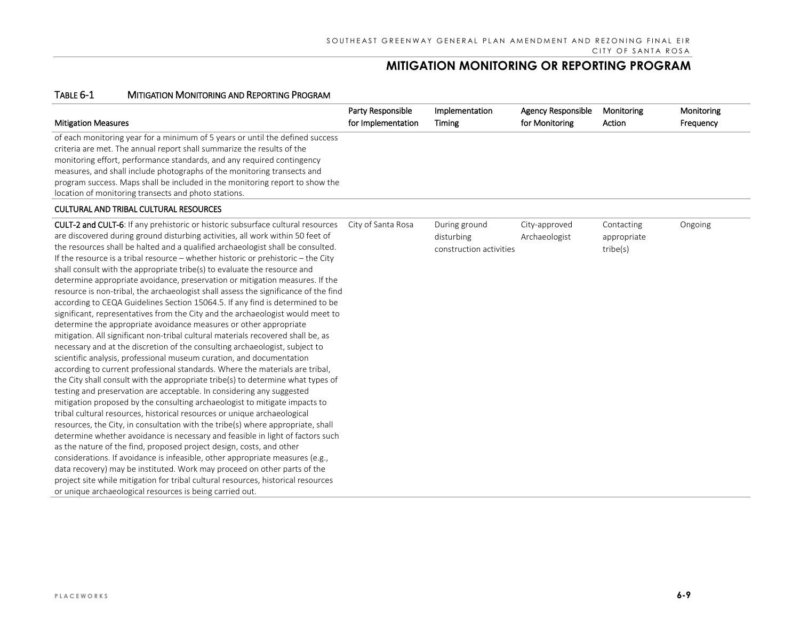#### TABLE 6-1 MITIGATION MONITORING AND REPORTING PROGRAM

|                                                                               | Party Responsible  | Implementation | Agency Responsible | Monitoring | Monitoring |
|-------------------------------------------------------------------------------|--------------------|----------------|--------------------|------------|------------|
| <b>Mitigation Measures</b>                                                    | for Implementation | Timing         | for Monitoring     | Action     | Frequency  |
| of each monitoring year for a minimum of 5 years or until the defined success |                    |                |                    |            |            |
| criteria are met. The annual report shall summarize the results of the        |                    |                |                    |            |            |
| monitoring effort, performance standards, and any required contingency        |                    |                |                    |            |            |
| measures, and shall include photographs of the monitoring transects and       |                    |                |                    |            |            |
| program success. Maps shall be included in the monitoring report to show the  |                    |                |                    |            |            |
| location of monitoring transects and photo stations.                          |                    |                |                    |            |            |
|                                                                               |                    |                |                    |            |            |

#### CULTURAL AND TRIBAL CULTURAL RESOURCES

| the resources shall be halted and a qualified archaeologist shall be consulted.<br>construction activities<br>If the resource is a tribal resource – whether historic or prehistoric – the City<br>shall consult with the appropriate tribe(s) to evaluate the resource and<br>determine appropriate avoidance, preservation or mitigation measures. If the<br>resource is non-tribal, the archaeologist shall assess the significance of the find<br>according to CEQA Guidelines Section 15064.5. If any find is determined to be<br>significant, representatives from the City and the archaeologist would meet to<br>determine the appropriate avoidance measures or other appropriate<br>mitigation. All significant non-tribal cultural materials recovered shall be, as<br>necessary and at the discretion of the consulting archaeologist, subject to<br>scientific analysis, professional museum curation, and documentation<br>according to current professional standards. Where the materials are tribal,<br>the City shall consult with the appropriate tribe(s) to determine what types of<br>testing and preservation are acceptable. In considering any suggested<br>mitigation proposed by the consulting archaeologist to mitigate impacts to<br>tribal cultural resources, historical resources or unique archaeological<br>resources, the City, in consultation with the tribe(s) where appropriate, shall<br>determine whether avoidance is necessary and feasible in light of factors such<br>as the nature of the find, proposed project design, costs, and other<br>considerations. If avoidance is infeasible, other appropriate measures (e.g.,<br>data recovery) may be instituted. Work may proceed on other parts of the<br>project site while mitigation for tribal cultural resources, historical resources<br>or unique archaeological resources is being carried out. |  |  |  |  |
|--------------------------------------------------------------------------------------------------------------------------------------------------------------------------------------------------------------------------------------------------------------------------------------------------------------------------------------------------------------------------------------------------------------------------------------------------------------------------------------------------------------------------------------------------------------------------------------------------------------------------------------------------------------------------------------------------------------------------------------------------------------------------------------------------------------------------------------------------------------------------------------------------------------------------------------------------------------------------------------------------------------------------------------------------------------------------------------------------------------------------------------------------------------------------------------------------------------------------------------------------------------------------------------------------------------------------------------------------------------------------------------------------------------------------------------------------------------------------------------------------------------------------------------------------------------------------------------------------------------------------------------------------------------------------------------------------------------------------------------------------------------------------------------------------------------------------------------------------------------------------------------------------------|--|--|--|--|
|--------------------------------------------------------------------------------------------------------------------------------------------------------------------------------------------------------------------------------------------------------------------------------------------------------------------------------------------------------------------------------------------------------------------------------------------------------------------------------------------------------------------------------------------------------------------------------------------------------------------------------------------------------------------------------------------------------------------------------------------------------------------------------------------------------------------------------------------------------------------------------------------------------------------------------------------------------------------------------------------------------------------------------------------------------------------------------------------------------------------------------------------------------------------------------------------------------------------------------------------------------------------------------------------------------------------------------------------------------------------------------------------------------------------------------------------------------------------------------------------------------------------------------------------------------------------------------------------------------------------------------------------------------------------------------------------------------------------------------------------------------------------------------------------------------------------------------------------------------------------------------------------------------|--|--|--|--|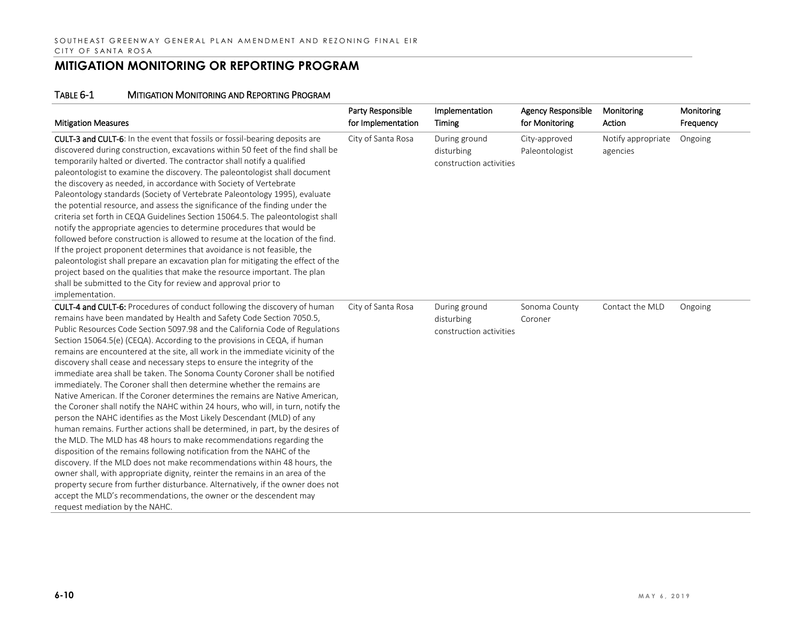| <b>Mitigation Measures</b>                                                                                                                                                                                                                                                                                                                                                                                                                                                                                                                                                                                                                                                                                                                                                                                                                                                                                                                                                                                                                                                                                                                                                                                                                                                                                                                                                                                                                                                    | Party Responsible<br>for Implementation | Implementation<br>Timing                               | <b>Agency Responsible</b><br>for Monitoring | Monitoring<br>Action           | Monitoring<br>Frequency |
|-------------------------------------------------------------------------------------------------------------------------------------------------------------------------------------------------------------------------------------------------------------------------------------------------------------------------------------------------------------------------------------------------------------------------------------------------------------------------------------------------------------------------------------------------------------------------------------------------------------------------------------------------------------------------------------------------------------------------------------------------------------------------------------------------------------------------------------------------------------------------------------------------------------------------------------------------------------------------------------------------------------------------------------------------------------------------------------------------------------------------------------------------------------------------------------------------------------------------------------------------------------------------------------------------------------------------------------------------------------------------------------------------------------------------------------------------------------------------------|-----------------------------------------|--------------------------------------------------------|---------------------------------------------|--------------------------------|-------------------------|
| CULT-3 and CULT-6: In the event that fossils or fossil-bearing deposits are<br>discovered during construction, excavations within 50 feet of the find shall be<br>temporarily halted or diverted. The contractor shall notify a qualified<br>paleontologist to examine the discovery. The paleontologist shall document<br>the discovery as needed, in accordance with Society of Vertebrate<br>Paleontology standards (Society of Vertebrate Paleontology 1995), evaluate<br>the potential resource, and assess the significance of the finding under the<br>criteria set forth in CEQA Guidelines Section 15064.5. The paleontologist shall<br>notify the appropriate agencies to determine procedures that would be<br>followed before construction is allowed to resume at the location of the find.<br>If the project proponent determines that avoidance is not feasible, the<br>paleontologist shall prepare an excavation plan for mitigating the effect of the<br>project based on the qualities that make the resource important. The plan<br>shall be submitted to the City for review and approval prior to<br>implementation.                                                                                                                                                                                                                                                                                                                                    | City of Santa Rosa                      | During ground<br>disturbing<br>construction activities | City-approved<br>Paleontologist             | Notify appropriate<br>agencies | Ongoing                 |
| <b>CULT-4 and CULT-6:</b> Procedures of conduct following the discovery of human<br>remains have been mandated by Health and Safety Code Section 7050.5,<br>Public Resources Code Section 5097.98 and the California Code of Regulations<br>Section 15064.5(e) (CEQA). According to the provisions in CEQA, if human<br>remains are encountered at the site, all work in the immediate vicinity of the<br>discovery shall cease and necessary steps to ensure the integrity of the<br>immediate area shall be taken. The Sonoma County Coroner shall be notified<br>immediately. The Coroner shall then determine whether the remains are<br>Native American. If the Coroner determines the remains are Native American,<br>the Coroner shall notify the NAHC within 24 hours, who will, in turn, notify the<br>person the NAHC identifies as the Most Likely Descendant (MLD) of any<br>human remains. Further actions shall be determined, in part, by the desires of<br>the MLD. The MLD has 48 hours to make recommendations regarding the<br>disposition of the remains following notification from the NAHC of the<br>discovery. If the MLD does not make recommendations within 48 hours, the<br>owner shall, with appropriate dignity, reinter the remains in an area of the<br>property secure from further disturbance. Alternatively, if the owner does not<br>accept the MLD's recommendations, the owner or the descendent may<br>request mediation by the NAHC. | City of Santa Rosa                      | During ground<br>disturbing<br>construction activities | Sonoma County<br>Coroner                    | Contact the MLD                | Ongoing                 |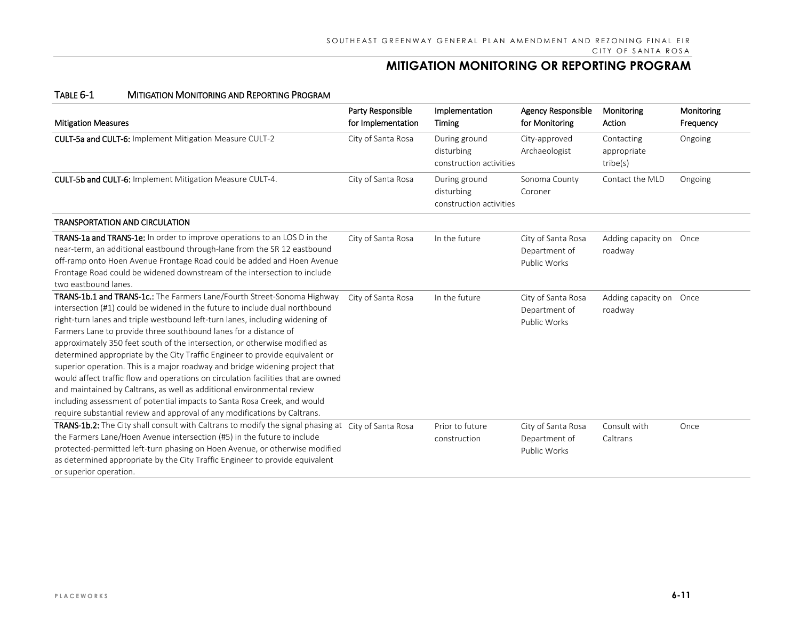| <b>Mitigation Measures</b>                                                                                                                                                                                                                                                                                                                                                                                                                                                                                                                                                                                                                                                                                                                                                                                                                                                       | Party Responsible<br>for Implementation | Implementation<br>Timing                               | <b>Agency Responsible</b><br>for Monitoring         | Monitoring<br>Action                  | Monitoring<br>Frequency |
|----------------------------------------------------------------------------------------------------------------------------------------------------------------------------------------------------------------------------------------------------------------------------------------------------------------------------------------------------------------------------------------------------------------------------------------------------------------------------------------------------------------------------------------------------------------------------------------------------------------------------------------------------------------------------------------------------------------------------------------------------------------------------------------------------------------------------------------------------------------------------------|-----------------------------------------|--------------------------------------------------------|-----------------------------------------------------|---------------------------------------|-------------------------|
| CULT-5a and CULT-6: Implement Mitigation Measure CULT-2                                                                                                                                                                                                                                                                                                                                                                                                                                                                                                                                                                                                                                                                                                                                                                                                                          | City of Santa Rosa                      | During ground<br>disturbing<br>construction activities | City-approved<br>Archaeologist                      | Contacting<br>appropriate<br>tribe(s) | Ongoing                 |
| CULT-5b and CULT-6: Implement Mitigation Measure CULT-4.                                                                                                                                                                                                                                                                                                                                                                                                                                                                                                                                                                                                                                                                                                                                                                                                                         | City of Santa Rosa                      | During ground<br>disturbing<br>construction activities | Sonoma County<br>Coroner                            | Contact the MLD                       | Ongoing                 |
| <b>TRANSPORTATION AND CIRCULATION</b>                                                                                                                                                                                                                                                                                                                                                                                                                                                                                                                                                                                                                                                                                                                                                                                                                                            |                                         |                                                        |                                                     |                                       |                         |
| <b>TRANS-1a and TRANS-1e:</b> In order to improve operations to an LOS D in the<br>near-term, an additional eastbound through-lane from the SR 12 eastbound<br>off-ramp onto Hoen Avenue Frontage Road could be added and Hoen Avenue<br>Frontage Road could be widened downstream of the intersection to include<br>two eastbound lanes.                                                                                                                                                                                                                                                                                                                                                                                                                                                                                                                                        | City of Santa Rosa                      | In the future                                          | City of Santa Rosa<br>Department of<br>Public Works | Adding capacity on Once<br>roadway    |                         |
| TRANS-1b.1 and TRANS-1c.: The Farmers Lane/Fourth Street-Sonoma Highway<br>intersection (#1) could be widened in the future to include dual northbound<br>right-turn lanes and triple westbound left-turn lanes, including widening of<br>Farmers Lane to provide three southbound lanes for a distance of<br>approximately 350 feet south of the intersection, or otherwise modified as<br>determined appropriate by the City Traffic Engineer to provide equivalent or<br>superior operation. This is a major roadway and bridge widening project that<br>would affect traffic flow and operations on circulation facilities that are owned<br>and maintained by Caltrans, as well as additional environmental review<br>including assessment of potential impacts to Santa Rosa Creek, and would<br>require substantial review and approval of any modifications by Caltrans. | City of Santa Rosa                      | In the future                                          | City of Santa Rosa<br>Department of<br>Public Works | Adding capacity on Once<br>roadway    |                         |
| TRANS-1b.2: The City shall consult with Caltrans to modify the signal phasing at City of Santa Rosa<br>the Farmers Lane/Hoen Avenue intersection (#5) in the future to include<br>protected-permitted left-turn phasing on Hoen Avenue, or otherwise modified<br>as determined appropriate by the City Traffic Engineer to provide equivalent<br>or superior operation.                                                                                                                                                                                                                                                                                                                                                                                                                                                                                                          |                                         | Prior to future<br>construction                        | City of Santa Rosa<br>Department of<br>Public Works | Consult with<br>Caltrans              | Once                    |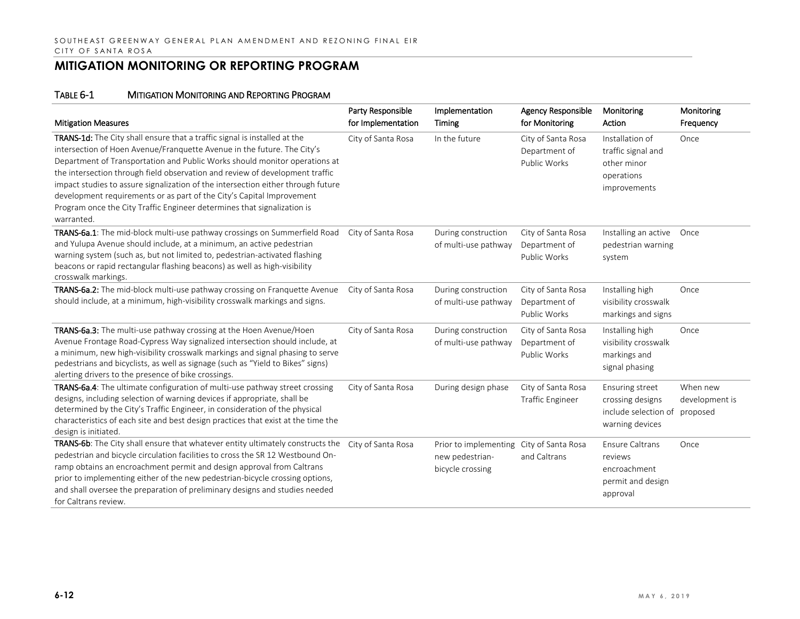| <b>Mitigation Measures</b>                                                                                                                                                                                                                                                                                                                                                                                                                                                                                                                                               | Party Responsible<br>for Implementation | Implementation<br>Timing                                                        | Agency Responsible<br>for Monitoring                | Monitoring<br>Action                                                               | Monitoring<br>Frequency                |
|--------------------------------------------------------------------------------------------------------------------------------------------------------------------------------------------------------------------------------------------------------------------------------------------------------------------------------------------------------------------------------------------------------------------------------------------------------------------------------------------------------------------------------------------------------------------------|-----------------------------------------|---------------------------------------------------------------------------------|-----------------------------------------------------|------------------------------------------------------------------------------------|----------------------------------------|
| TRANS-1d: The City shall ensure that a traffic signal is installed at the<br>intersection of Hoen Avenue/Franquette Avenue in the future. The City's<br>Department of Transportation and Public Works should monitor operations at<br>the intersection through field observation and review of development traffic<br>impact studies to assure signalization of the intersection either through future<br>development requirements or as part of the City's Capital Improvement<br>Program once the City Traffic Engineer determines that signalization is<br>warranted. | City of Santa Rosa                      | In the future                                                                   | City of Santa Rosa<br>Department of<br>Public Works | Installation of<br>traffic signal and<br>other minor<br>operations<br>improvements | Once                                   |
| TRANS-6a.1: The mid-block multi-use pathway crossings on Summerfield Road<br>and Yulupa Avenue should include, at a minimum, an active pedestrian<br>warning system (such as, but not limited to, pedestrian-activated flashing<br>beacons or rapid rectangular flashing beacons) as well as high-visibility<br>crosswalk markings.                                                                                                                                                                                                                                      | City of Santa Rosa                      | During construction<br>of multi-use pathway                                     | City of Santa Rosa<br>Department of<br>Public Works | Installing an active Once<br>pedestrian warning<br>system                          |                                        |
| TRANS-6a.2: The mid-block multi-use pathway crossing on Franquette Avenue<br>should include, at a minimum, high-visibility crosswalk markings and signs.                                                                                                                                                                                                                                                                                                                                                                                                                 | City of Santa Rosa                      | During construction<br>of multi-use pathway                                     | City of Santa Rosa<br>Department of<br>Public Works | Installing high<br>visibility crosswalk<br>markings and signs                      | Once                                   |
| TRANS-6a.3: The multi-use pathway crossing at the Hoen Avenue/Hoen<br>Avenue Frontage Road-Cypress Way signalized intersection should include, at<br>a minimum, new high-visibility crosswalk markings and signal phasing to serve<br>pedestrians and bicyclists, as well as signage (such as "Yield to Bikes" signs)<br>alerting drivers to the presence of bike crossings.                                                                                                                                                                                             | City of Santa Rosa                      | During construction<br>of multi-use pathway                                     | City of Santa Rosa<br>Department of<br>Public Works | Installing high<br>visibility crosswalk<br>markings and<br>signal phasing          | Once                                   |
| TRANS-6a.4: The ultimate configuration of multi-use pathway street crossing<br>designs, including selection of warning devices if appropriate, shall be<br>determined by the City's Traffic Engineer, in consideration of the physical<br>characteristics of each site and best design practices that exist at the time the<br>design is initiated.                                                                                                                                                                                                                      | City of Santa Rosa                      | During design phase                                                             | City of Santa Rosa<br><b>Traffic Engineer</b>       | Ensuring street<br>crossing designs<br>include selection of<br>warning devices     | When new<br>development is<br>proposed |
| TRANS-6b: The City shall ensure that whatever entity ultimately constructs the<br>pedestrian and bicycle circulation facilities to cross the SR 12 Westbound On-<br>ramp obtains an encroachment permit and design approval from Caltrans<br>prior to implementing either of the new pedestrian-bicycle crossing options,<br>and shall oversee the preparation of preliminary designs and studies needed<br>for Caltrans review.                                                                                                                                         | City of Santa Rosa                      | Prior to implementing City of Santa Rosa<br>new pedestrian-<br>bicycle crossing | and Caltrans                                        | Ensure Caltrans<br>reviews<br>encroachment<br>permit and design<br>approval        | Once                                   |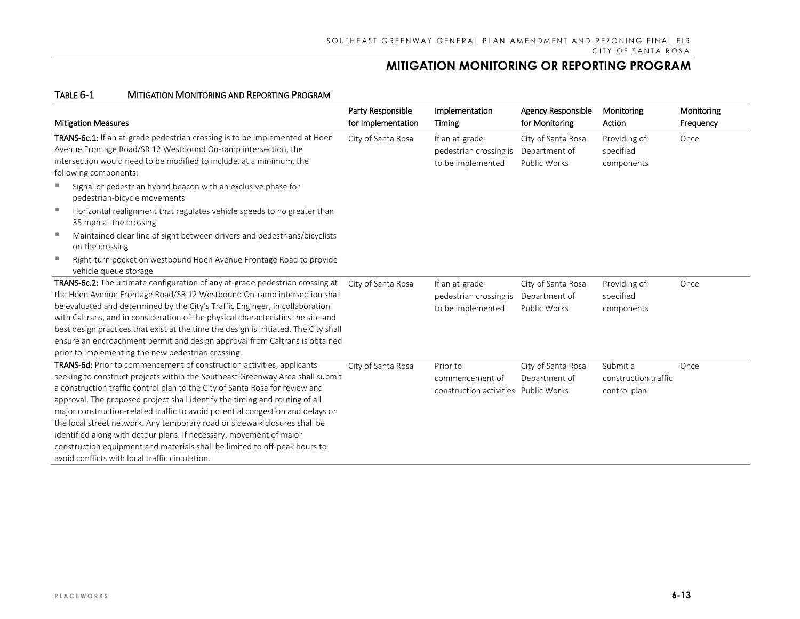| <b>Mitigation Measures</b>                                                                                                                                                                                                                                                                                                                                                                                                                                                                                                                                                                                                                                                                     | Party Responsible<br>for Implementation | Implementation<br>Timing                                            | <b>Agency Responsible</b><br>for Monitoring         | Monitoring<br>Action                             | Monitoring<br>Frequency |
|------------------------------------------------------------------------------------------------------------------------------------------------------------------------------------------------------------------------------------------------------------------------------------------------------------------------------------------------------------------------------------------------------------------------------------------------------------------------------------------------------------------------------------------------------------------------------------------------------------------------------------------------------------------------------------------------|-----------------------------------------|---------------------------------------------------------------------|-----------------------------------------------------|--------------------------------------------------|-------------------------|
| TRANS-6c.1: If an at-grade pedestrian crossing is to be implemented at Hoen<br>Avenue Frontage Road/SR 12 Westbound On-ramp intersection, the<br>intersection would need to be modified to include, at a minimum, the<br>following components:                                                                                                                                                                                                                                                                                                                                                                                                                                                 | City of Santa Rosa                      | If an at-grade<br>pedestrian crossing is<br>to be implemented       | City of Santa Rosa<br>Department of<br>Public Works | Providing of<br>specified<br>components          | Once                    |
| п<br>Signal or pedestrian hybrid beacon with an exclusive phase for<br>pedestrian-bicycle movements                                                                                                                                                                                                                                                                                                                                                                                                                                                                                                                                                                                            |                                         |                                                                     |                                                     |                                                  |                         |
| Horizontal realignment that regulates vehicle speeds to no greater than<br>35 mph at the crossing                                                                                                                                                                                                                                                                                                                                                                                                                                                                                                                                                                                              |                                         |                                                                     |                                                     |                                                  |                         |
| Maintained clear line of sight between drivers and pedestrians/bicyclists<br>on the crossing                                                                                                                                                                                                                                                                                                                                                                                                                                                                                                                                                                                                   |                                         |                                                                     |                                                     |                                                  |                         |
| п<br>Right-turn pocket on westbound Hoen Avenue Frontage Road to provide<br>vehicle queue storage                                                                                                                                                                                                                                                                                                                                                                                                                                                                                                                                                                                              |                                         |                                                                     |                                                     |                                                  |                         |
| TRANS-6c.2: The ultimate configuration of any at-grade pedestrian crossing at<br>the Hoen Avenue Frontage Road/SR 12 Westbound On-ramp intersection shall<br>be evaluated and determined by the City's Traffic Engineer, in collaboration<br>with Caltrans, and in consideration of the physical characteristics the site and<br>best design practices that exist at the time the design is initiated. The City shall<br>ensure an encroachment permit and design approval from Caltrans is obtained<br>prior to implementing the new pedestrian crossing.                                                                                                                                     | City of Santa Rosa                      | If an at-grade<br>pedestrian crossing is<br>to be implemented       | City of Santa Rosa<br>Department of<br>Public Works | Providing of<br>specified<br>components          | Once                    |
| TRANS-6d: Prior to commencement of construction activities, applicants<br>seeking to construct projects within the Southeast Greenway Area shall submit<br>a construction traffic control plan to the City of Santa Rosa for review and<br>approval. The proposed project shall identify the timing and routing of all<br>major construction-related traffic to avoid potential congestion and delays on<br>the local street network. Any temporary road or sidewalk closures shall be<br>identified along with detour plans. If necessary, movement of major<br>construction equipment and materials shall be limited to off-peak hours to<br>avoid conflicts with local traffic circulation. | City of Santa Rosa                      | Prior to<br>commencement of<br>construction activities Public Works | City of Santa Rosa<br>Department of                 | Submit a<br>construction traffic<br>control plan | Once                    |